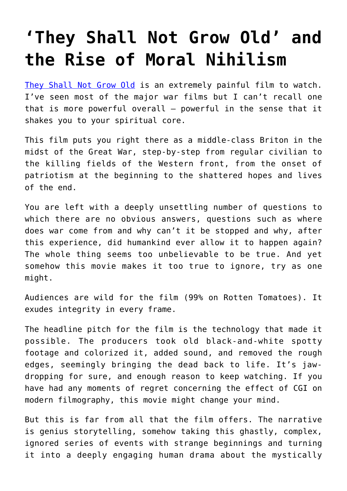## **['They Shall Not Grow Old' and](https://intellectualtakeout.org/2019/02/they-shall-not-grow-old-and-the-rise-of-moral-nihilism/) [the Rise of Moral Nihilism](https://intellectualtakeout.org/2019/02/they-shall-not-grow-old-and-the-rise-of-moral-nihilism/)**

[They Shall Not Grow Old](https://www.imdb.com/title/tt7905466/) is an extremely painful film to watch. I've seen most of the major war films but I can't recall one that is more powerful overall – powerful in the sense that it shakes you to your spiritual core.

This film puts you right there as a middle-class Briton in the midst of the Great War, step-by-step from regular civilian to the killing fields of the Western front, from the onset of patriotism at the beginning to the shattered hopes and lives of the end.

You are left with a deeply unsettling number of questions to which there are no obvious answers, questions such as where does war come from and why can't it be stopped and why, after this experience, did humankind ever allow it to happen again? The whole thing seems too unbelievable to be true. And yet somehow this movie makes it too true to ignore, try as one might.

Audiences are wild for the film (99% on Rotten Tomatoes). It exudes integrity in every frame.

The headline pitch for the film is the technology that made it possible. The producers took old black-and-white spotty footage and colorized it, added sound, and removed the rough edges, seemingly bringing the dead back to life. It's jawdropping for sure, and enough reason to keep watching. If you have had any moments of regret concerning the effect of CGI on modern filmography, this movie might change your mind.

But this is far from all that the film offers. The narrative is genius storytelling, somehow taking this ghastly, complex, ignored series of events with strange beginnings and turning it into a deeply engaging human drama about the mystically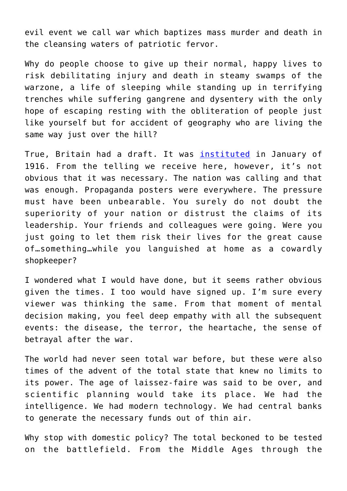evil event we call war which baptizes mass murder and death in the cleansing waters of patriotic fervor.

Why do people choose to give up their normal, happy lives to risk debilitating injury and death in steamy swamps of the warzone, a life of sleeping while standing up in terrifying trenches while suffering gangrene and dysentery with the only hope of escaping resting with the obliteration of people just like yourself but for accident of geography who are living the same way just over the hill?

True, Britain had a draft. It was *[instituted](https://en.wikipedia.org/wiki/Conscription_in_the_United_Kingdom#First_World_War)* in January of 1916. From the telling we receive here, however, it's not obvious that it was necessary. The nation was calling and that was enough. Propaganda posters were everywhere. The pressure must have been unbearable. You surely do not doubt the superiority of your nation or distrust the claims of its leadership. Your friends and colleagues were going. Were you just going to let them risk their lives for the great cause of…something…while you languished at home as a cowardly shopkeeper?

I wondered what I would have done, but it seems rather obvious given the times. I too would have signed up. I'm sure every viewer was thinking the same. From that moment of mental decision making, you feel deep empathy with all the subsequent events: the disease, the terror, the heartache, the sense of betrayal after the war.

The world had never seen total war before, but these were also times of the advent of the total state that knew no limits to its power. The age of laissez-faire was said to be over, and scientific planning would take its place. We had the intelligence. We had modern technology. We had central banks to generate the necessary funds out of thin air.

Why stop with domestic policy? The total beckoned to be tested on the battlefield. From the Middle Ages through the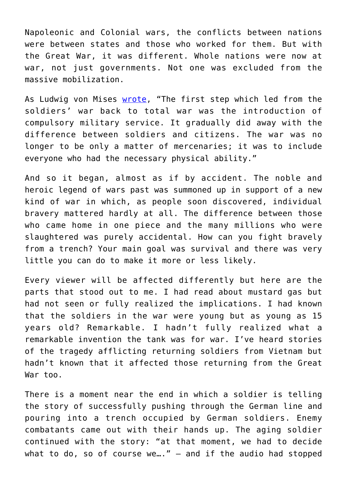Napoleonic and Colonial wars, the conflicts between nations were between states and those who worked for them. But with the Great War, it was different. Whole nations were now at war, not just governments. Not one was excluded from the massive mobilization.

As Ludwig von Mises [wrote,](https://oll.libertyfund.org/titles/mises-interventionism-an-economic-analysis) "The first step which led from the soldiers' war back to total war was the introduction of compulsory military service. It gradually did away with the difference between soldiers and citizens. The war was no longer to be only a matter of mercenaries; it was to include everyone who had the necessary physical ability."

And so it began, almost as if by accident. The noble and heroic legend of wars past was summoned up in support of a new kind of war in which, as people soon discovered, individual bravery mattered hardly at all. The difference between those who came home in one piece and the many millions who were slaughtered was purely accidental. How can you fight bravely from a trench? Your main goal was survival and there was very little you can do to make it more or less likely.

Every viewer will be affected differently but here are the parts that stood out to me. I had read about mustard gas but had not seen or fully realized the implications. I had known that the soldiers in the war were young but as young as 15 years old? Remarkable. I hadn't fully realized what a remarkable invention the tank was for war. I've heard stories of the tragedy afflicting returning soldiers from Vietnam but hadn't known that it affected those returning from the Great War too.

There is a moment near the end in which a soldier is telling the story of successfully pushing through the German line and pouring into a trench occupied by German soldiers. Enemy combatants came out with their hands up. The aging soldier continued with the story: "at that moment, we had to decide what to do, so of course we..."  $-$  and if the audio had stopped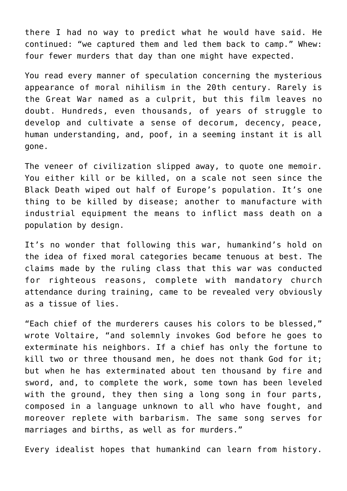there I had no way to predict what he would have said. He continued: "we captured them and led them back to camp." Whew: four fewer murders that day than one might have expected.

You read every manner of speculation concerning the mysterious appearance of moral nihilism in the 20th century. Rarely is the Great War named as a culprit, but this film leaves no doubt. Hundreds, even thousands, of years of struggle to develop and cultivate a sense of decorum, decency, peace, human understanding, and, poof, in a seeming instant it is all gone.

The veneer of civilization slipped away, to quote one memoir. You either kill or be killed, on a scale not seen since the Black Death wiped out half of Europe's population. It's one thing to be killed by disease; another to manufacture with industrial equipment the means to inflict mass death on a population by design.

It's no wonder that following this war, humankind's hold on the idea of fixed moral categories became tenuous at best. The claims made by the ruling class that this war was conducted for righteous reasons, complete with mandatory church attendance during training, came to be revealed very obviously as a tissue of lies.

"Each chief of the murderers causes his colors to be blessed," wrote Voltaire, "and solemnly invokes God before he goes to exterminate his neighbors. If a chief has only the fortune to kill two or three thousand men, he does not thank God for it; but when he has exterminated about ten thousand by fire and sword, and, to complete the work, some town has been leveled with the ground, they then sing a long song in four parts, composed in a language unknown to all who have fought, and moreover replete with barbarism. The same song serves for marriages and births, as well as for murders."

Every idealist hopes that humankind can learn from history.